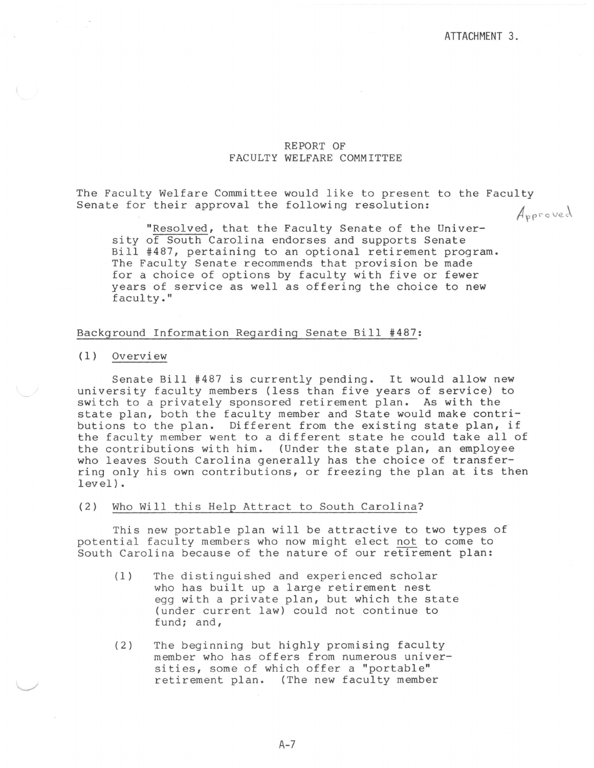## REPORT OF FACULTY WELFARE COMMITTEE

The Faculty Welfare Committee would like to present to the Faculty Senate for their approval the following resolution: Approved

"Resolved, that the Faculty Senate of the University of South Carolina endorses and supports Senate Bill #487, pertaining to an optional retirement program. The Faculty Senate recommends that provision be made for a choice of options by faculty with five or fewer years of service as well as offering the choice to new

# Background Information Regarding Senate Bill #487:

(1) Overview

faculty."

Senate Bill #487 is currently pending. It would allow new university faculty members (less than five years of service) to switch to a privately sponsored retirement plan. As with the state plan, both the faculty member and State would make contributions to the plan. Different from the existing state plan, if the faculty member went to a different state he could take all of the contributions with him. (Under the state plan, an employee who leaves South Carolina generally has the choice of transferring only his own contributions, or freezing the plan at its then level).

#### (2) Who Will this Help Attract to South Carolina?

This new portable plan will be attractive to two types of potential faculty members who now might elect not to come to South Carolina because of the nature of our retirement plan:

- (1) The distinguished and experienced scholar who has built up a large retirement nest egg with a private plan, but which the state (under current law) could not continue to fund; and,
- (2) The beginning but highly promising faculty member who has offers from numerous universities, some of which offer a "portable" retirement plan. (The new faculty member

 $A - 7$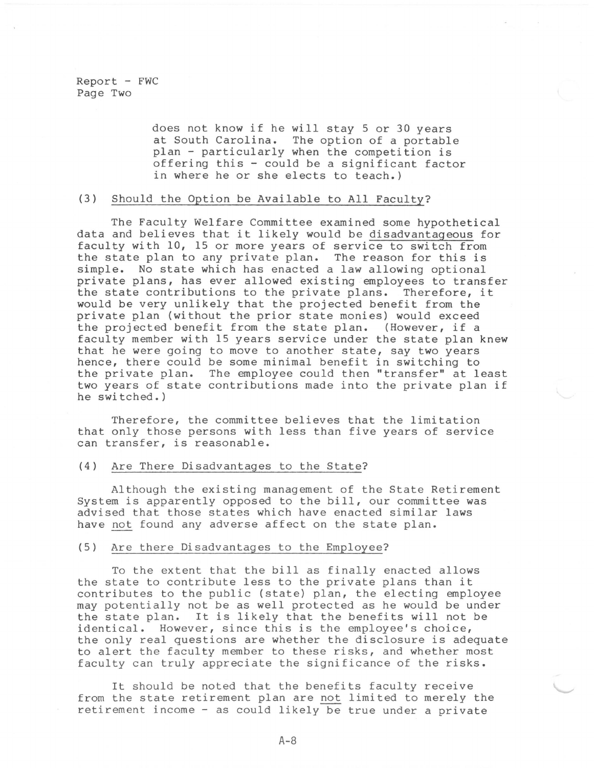$Report - FWC$ Page Two

> does not know if he will stay 5 or 30 years at South Carolina. The option of a portable plan - particularly when the competition is offering this - could be a significant factor in where he or she elects to teach.)

## (3) Should the Option be Available to All Faculty?

The Faculty Welfare Committee examined some hypothetical data and believes that it likely would be disadvantageous for faculty with 10, 15 or more years of service to switch from the state plan to any private plan. The reason for this is simple. No state which has enacted a law allowing optional private plans, has ever allowed existing employees to transfer the state contributions to the private plans. Therefore, it would be very unlikely that the projected benefit from the private plan (without the prior state monies) would exceed the projected benefit from the state plan. (However, if a faculty member with 15 years service under the state plan knew that he were going to move to another state, say two years hence, there could be some minimal benefit in switching to the private plan. The employee could then "transfer" at least two years of state contributions made into the private plan if he switched.)

Therefore, the committee believes that the limitation that only those persons with less than five years of service can transfer, is reasonable.

#### (4) Are There Disadvantages to the State?

Although the existing management of the State Retirement System is apparently opposed to the bill, our committee was advised that those states which have enacted similar laws have not found any adverse affect on the state plan.

#### (5) Are there Disadvantages to the Employee?

To the extent that the bill as finally enacted allows the state to contribute less to the private plans than it contributes to the public (state) plan, the electing employee may potentially not be as well protected as he would be under the state plan. It is likely that the benefits will not be identical. However, since this is the employee's choice, the only real questions are whether the disclosure is adequate to alert the faculty member to these risks, and whether most faculty can truly appreciate the significance of the risks.

It should be noted that the benefits faculty receive from the state retirement plan are not limited to merely the retirement income - as could likely be true under a private